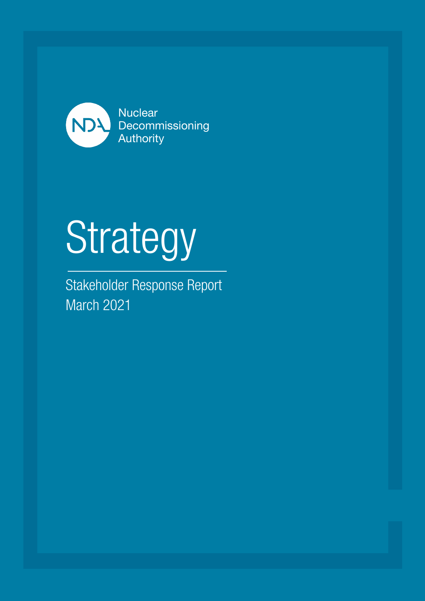

# Strategy

Stakeholder Response Report March 2021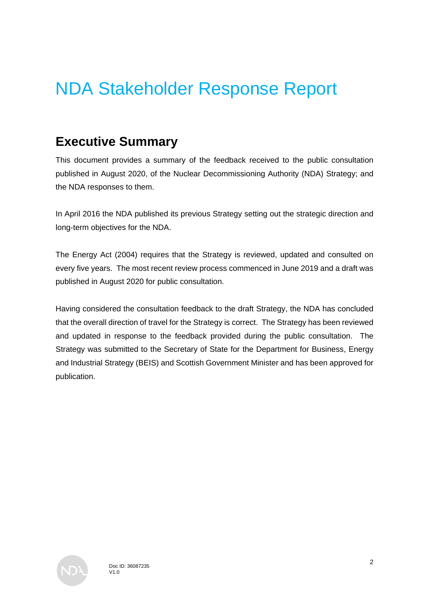## NDA Stakeholder Response Report

## **Executive Summary**

This document provides a summary of the feedback received to the public consultation published in August 2020, of the Nuclear Decommissioning Authority (NDA) Strategy; and the NDA responses to them.

In April 2016 the NDA published its previous Strategy setting out the strategic direction and long-term objectives for the NDA.

The Energy Act (2004) requires that the Strategy is reviewed, updated and consulted on every five years. The most recent review process commenced in June 2019 and a draft was published in August 2020 for public consultation.

Having considered the consultation feedback to the draft Strategy, the NDA has concluded that the overall direction of travel for the Strategy is correct. The Strategy has been reviewed and updated in response to the feedback provided during the public consultation. The Strategy was submitted to the Secretary of State for the Department for Business, Energy and Industrial Strategy (BEIS) and Scottish Government Minister and has been approved for publication.

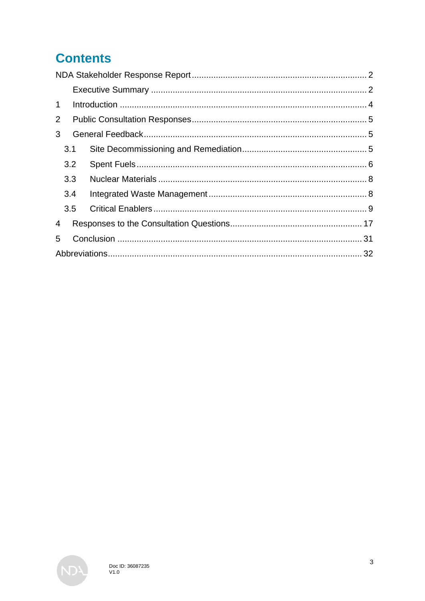## **Contents**

| 1              |     |  |  |  |
|----------------|-----|--|--|--|
| $\overline{2}$ |     |  |  |  |
| 3 <sup>1</sup> |     |  |  |  |
|                | 3.1 |  |  |  |
|                | 3.2 |  |  |  |
|                | 3.3 |  |  |  |
|                | 3.4 |  |  |  |
|                | 3.5 |  |  |  |
| $\overline{4}$ |     |  |  |  |
| 5              |     |  |  |  |
|                |     |  |  |  |

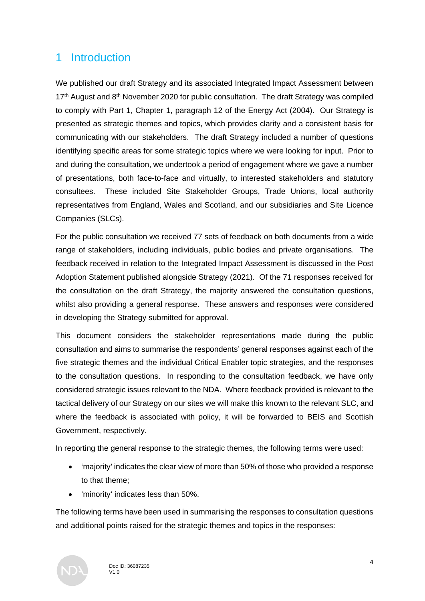## 1 Introduction

We published our draft Strategy and its associated Integrated Impact Assessment between  $17<sup>th</sup>$  August and  $8<sup>th</sup>$  November 2020 for public consultation. The draft Strategy was compiled to comply with Part 1, Chapter 1, paragraph 12 of the Energy Act (2004). Our Strategy is presented as strategic themes and topics, which provides clarity and a consistent basis for communicating with our stakeholders. The draft Strategy included a number of questions identifying specific areas for some strategic topics where we were looking for input. Prior to and during the consultation, we undertook a period of engagement where we gave a number of presentations, both face-to-face and virtually, to interested stakeholders and statutory consultees. These included Site Stakeholder Groups, Trade Unions, local authority representatives from England, Wales and Scotland, and our subsidiaries and Site Licence Companies (SLCs).

For the public consultation we received 77 sets of feedback on both documents from a wide range of stakeholders, including individuals, public bodies and private organisations. The feedback received in relation to the Integrated Impact Assessment is discussed in the Post Adoption Statement published alongside Strategy (2021). Of the 71 responses received for the consultation on the draft Strategy, the majority answered the consultation questions, whilst also providing a general response. These answers and responses were considered in developing the Strategy submitted for approval.

This document considers the stakeholder representations made during the public consultation and aims to summarise the respondents' general responses against each of the five strategic themes and the individual Critical Enabler topic strategies, and the responses to the consultation questions. In responding to the consultation feedback, we have only considered strategic issues relevant to the NDA. Where feedback provided is relevant to the tactical delivery of our Strategy on our sites we will make this known to the relevant SLC, and where the feedback is associated with policy, it will be forwarded to BEIS and Scottish Government, respectively.

In reporting the general response to the strategic themes, the following terms were used:

- 'majority' indicates the clear view of more than 50% of those who provided a response to that theme;
- 'minority' indicates less than 50%.

The following terms have been used in summarising the responses to consultation questions and additional points raised for the strategic themes and topics in the responses:

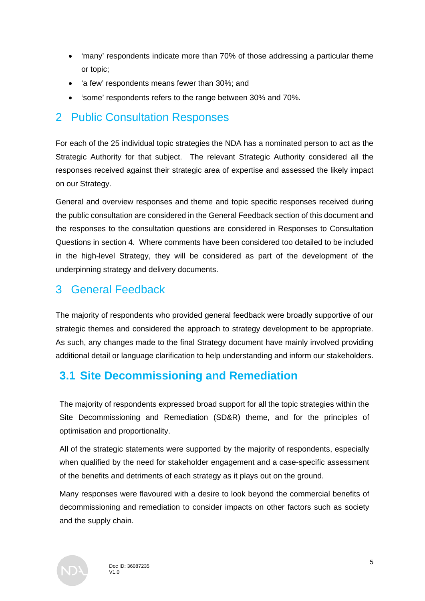- 'many' respondents indicate more than 70% of those addressing a particular theme or topic;
- 'a few' respondents means fewer than 30%; and
- 'some' respondents refers to the range between 30% and 70%.

## 2 Public Consultation Responses

For each of the 25 individual topic strategies the NDA has a nominated person to act as the Strategic Authority for that subject. The relevant Strategic Authority considered all the responses received against their strategic area of expertise and assessed the likely impact on our Strategy.

General and overview responses and theme and topic specific responses received during the public consultation are considered in the General Feedback section of this document and the responses to the consultation questions are considered in Responses to Consultation Questions in section 4. Where comments have been considered too detailed to be included in the high-level Strategy, they will be considered as part of the development of the underpinning strategy and delivery documents.

## 3 General Feedback

The majority of respondents who provided general feedback were broadly supportive of our strategic themes and considered the approach to strategy development to be appropriate. As such, any changes made to the final Strategy document have mainly involved providing additional detail or language clarification to help understanding and inform our stakeholders.

## **3.1 Site Decommissioning and Remediation**

The majority of respondents expressed broad support for all the topic strategies within the Site Decommissioning and Remediation (SD&R) theme, and for the principles of optimisation and proportionality.

All of the strategic statements were supported by the majority of respondents, especially when qualified by the need for stakeholder engagement and a case-specific assessment of the benefits and detriments of each strategy as it plays out on the ground.

Many responses were flavoured with a desire to look beyond the commercial benefits of decommissioning and remediation to consider impacts on other factors such as society and the supply chain.

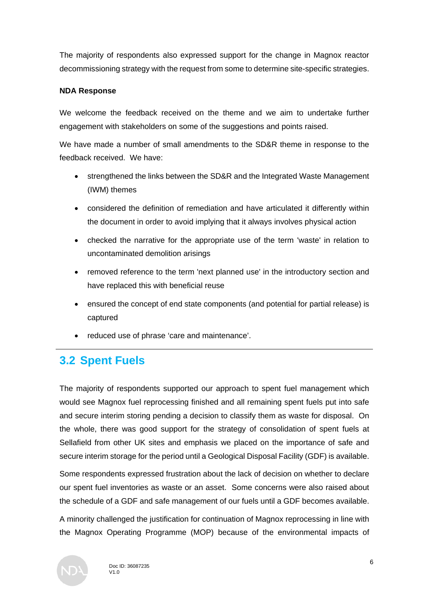The majority of respondents also expressed support for the change in Magnox reactor decommissioning strategy with the request from some to determine site-specific strategies.

## **NDA Response**

We welcome the feedback received on the theme and we aim to undertake further engagement with stakeholders on some of the suggestions and points raised.

We have made a number of small amendments to the SD&R theme in response to the feedback received. We have:

- strengthened the links between the SD&R and the Integrated Waste Management (IWM) themes
- considered the definition of remediation and have articulated it differently within the document in order to avoid implying that it always involves physical action
- checked the narrative for the appropriate use of the term 'waste' in relation to uncontaminated demolition arisings
- removed reference to the term 'next planned use' in the introductory section and have replaced this with beneficial reuse
- ensured the concept of end state components (and potential for partial release) is captured
- reduced use of phrase 'care and maintenance'.

## **3.2 Spent Fuels**

The majority of respondents supported our approach to spent fuel management which would see Magnox fuel reprocessing finished and all remaining spent fuels put into safe and secure interim storing pending a decision to classify them as waste for disposal. On the whole, there was good support for the strategy of consolidation of spent fuels at Sellafield from other UK sites and emphasis we placed on the importance of safe and secure interim storage for the period until a Geological Disposal Facility (GDF) is available.

Some respondents expressed frustration about the lack of decision on whether to declare our spent fuel inventories as waste or an asset. Some concerns were also raised about the schedule of a GDF and safe management of our fuels until a GDF becomes available.

A minority challenged the justification for continuation of Magnox reprocessing in line with the Magnox Operating Programme (MOP) because of the environmental impacts of

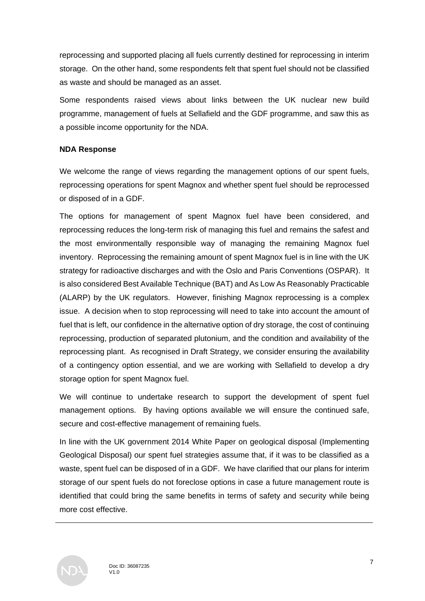reprocessing and supported placing all fuels currently destined for reprocessing in interim storage. On the other hand, some respondents felt that spent fuel should not be classified as waste and should be managed as an asset.

Some respondents raised views about links between the UK nuclear new build programme, management of fuels at Sellafield and the GDF programme, and saw this as a possible income opportunity for the NDA.

## **NDA Response**

We welcome the range of views regarding the management options of our spent fuels, reprocessing operations for spent Magnox and whether spent fuel should be reprocessed or disposed of in a GDF.

The options for management of spent Magnox fuel have been considered, and reprocessing reduces the long-term risk of managing this fuel and remains the safest and the most environmentally responsible way of managing the remaining Magnox fuel inventory. Reprocessing the remaining amount of spent Magnox fuel is in line with the UK strategy for radioactive discharges and with the Oslo and Paris Conventions (OSPAR). It is also considered Best Available Technique (BAT) and As Low As Reasonably Practicable (ALARP) by the UK regulators. However, finishing Magnox reprocessing is a complex issue. A decision when to stop reprocessing will need to take into account the amount of fuel that is left, our confidence in the alternative option of dry storage, the cost of continuing reprocessing, production of separated plutonium, and the condition and availability of the reprocessing plant. As recognised in Draft Strategy, we consider ensuring the availability of a contingency option essential, and we are working with Sellafield to develop a dry storage option for spent Magnox fuel.

We will continue to undertake research to support the development of spent fuel management options. By having options available we will ensure the continued safe, secure and cost-effective management of remaining fuels.

In line with the UK government 2014 White Paper on geological disposal (Implementing Geological Disposal) our spent fuel strategies assume that, if it was to be classified as a waste, spent fuel can be disposed of in a GDF. We have clarified that our plans for interim storage of our spent fuels do not foreclose options in case a future management route is identified that could bring the same benefits in terms of safety and security while being more cost effective.

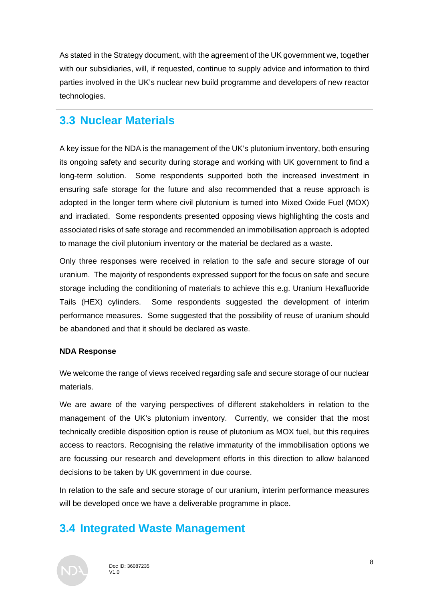As stated in the Strategy document, with the agreement of the UK government we, together with our subsidiaries, will, if requested, continue to supply advice and information to third parties involved in the UK's nuclear new build programme and developers of new reactor technologies.

## **3.3 Nuclear Materials**

A key issue for the NDA is the management of the UK's plutonium inventory, both ensuring its ongoing safety and security during storage and working with UK government to find a long-term solution. Some respondents supported both the increased investment in ensuring safe storage for the future and also recommended that a reuse approach is adopted in the longer term where civil plutonium is turned into Mixed Oxide Fuel (MOX) and irradiated. Some respondents presented opposing views highlighting the costs and associated risks of safe storage and recommended an immobilisation approach is adopted to manage the civil plutonium inventory or the material be declared as a waste.

Only three responses were received in relation to the safe and secure storage of our uranium. The majority of respondents expressed support for the focus on safe and secure storage including the conditioning of materials to achieve this e.g. Uranium Hexafluoride Tails (HEX) cylinders. Some respondents suggested the development of interim performance measures. Some suggested that the possibility of reuse of uranium should be abandoned and that it should be declared as waste.

## **NDA Response**

We welcome the range of views received regarding safe and secure storage of our nuclear materials.

We are aware of the varying perspectives of different stakeholders in relation to the management of the UK's plutonium inventory. Currently, we consider that the most technically credible disposition option is reuse of plutonium as MOX fuel, but this requires access to reactors. Recognising the relative immaturity of the immobilisation options we are focussing our research and development efforts in this direction to allow balanced decisions to be taken by UK government in due course.

In relation to the safe and secure storage of our uranium, interim performance measures will be developed once we have a deliverable programme in place.

## **3.4 Integrated Waste Management**

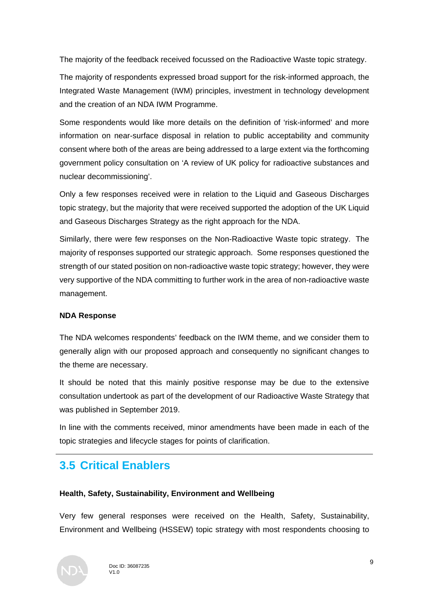The majority of the feedback received focussed on the Radioactive Waste topic strategy.

The majority of respondents expressed broad support for the risk-informed approach, the Integrated Waste Management (IWM) principles, investment in technology development and the creation of an NDA IWM Programme.

Some respondents would like more details on the definition of 'risk-informed' and more information on near-surface disposal in relation to public acceptability and community consent where both of the areas are being addressed to a large extent via the forthcoming government policy consultation on 'A review of UK policy for radioactive substances and nuclear decommissioning'.

Only a few responses received were in relation to the Liquid and Gaseous Discharges topic strategy, but the majority that were received supported the adoption of the UK Liquid and Gaseous Discharges Strategy as the right approach for the NDA.

Similarly, there were few responses on the Non-Radioactive Waste topic strategy. The majority of responses supported our strategic approach. Some responses questioned the strength of our stated position on non-radioactive waste topic strategy; however, they were very supportive of the NDA committing to further work in the area of non-radioactive waste management.

## **NDA Response**

The NDA welcomes respondents' feedback on the IWM theme, and we consider them to generally align with our proposed approach and consequently no significant changes to the theme are necessary.

It should be noted that this mainly positive response may be due to the extensive consultation undertook as part of the development of our Radioactive Waste Strategy that was published in September 2019.

In line with the comments received, minor amendments have been made in each of the topic strategies and lifecycle stages for points of clarification.

## **3.5 Critical Enablers**

## **Health, Safety, Sustainability, Environment and Wellbeing**

Very few general responses were received on the Health, Safety, Sustainability, Environment and Wellbeing (HSSEW) topic strategy with most respondents choosing to

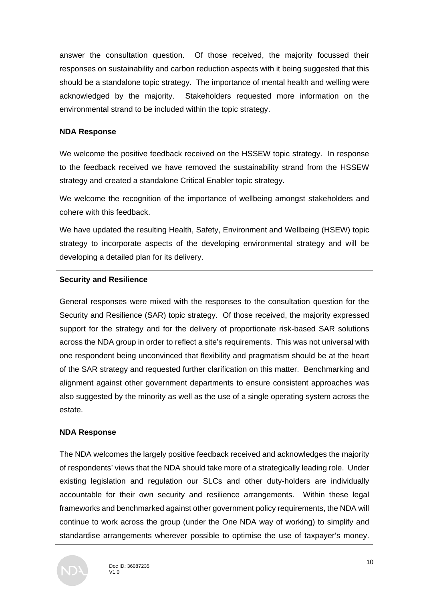answer the consultation question. Of those received, the majority focussed their responses on sustainability and carbon reduction aspects with it being suggested that this should be a standalone topic strategy. The importance of mental health and welling were acknowledged by the majority. Stakeholders requested more information on the environmental strand to be included within the topic strategy.

#### **NDA Response**

We welcome the positive feedback received on the HSSEW topic strategy. In response to the feedback received we have removed the sustainability strand from the HSSEW strategy and created a standalone Critical Enabler topic strategy.

We welcome the recognition of the importance of wellbeing amongst stakeholders and cohere with this feedback.

We have updated the resulting Health, Safety, Environment and Wellbeing (HSEW) topic strategy to incorporate aspects of the developing environmental strategy and will be developing a detailed plan for its delivery.

#### **Security and Resilience**

General responses were mixed with the responses to the consultation question for the Security and Resilience (SAR) topic strategy. Of those received, the majority expressed support for the strategy and for the delivery of proportionate risk-based SAR solutions across the NDA group in order to reflect a site's requirements. This was not universal with one respondent being unconvinced that flexibility and pragmatism should be at the heart of the SAR strategy and requested further clarification on this matter. Benchmarking and alignment against other government departments to ensure consistent approaches was also suggested by the minority as well as the use of a single operating system across the estate.

#### **NDA Response**

The NDA welcomes the largely positive feedback received and acknowledges the majority of respondents' views that the NDA should take more of a strategically leading role. Under existing legislation and regulation our SLCs and other duty-holders are individually accountable for their own security and resilience arrangements. Within these legal frameworks and benchmarked against other government policy requirements, the NDA will continue to work across the group (under the One NDA way of working) to simplify and standardise arrangements wherever possible to optimise the use of taxpayer's money.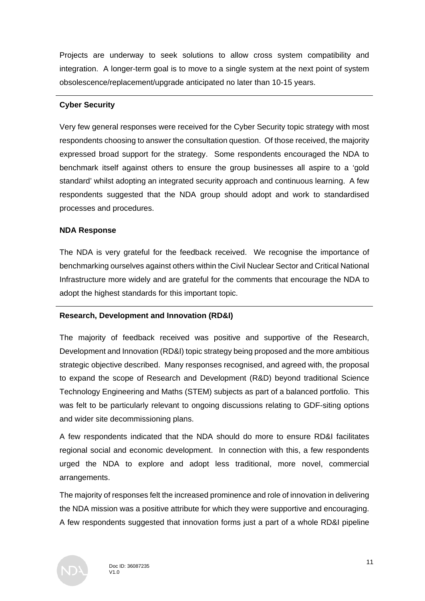Projects are underway to seek solutions to allow cross system compatibility and integration. A longer-term goal is to move to a single system at the next point of system obsolescence/replacement/upgrade anticipated no later than 10-15 years.

#### **Cyber Security**

Very few general responses were received for the Cyber Security topic strategy with most respondents choosing to answer the consultation question. Of those received, the majority expressed broad support for the strategy. Some respondents encouraged the NDA to benchmark itself against others to ensure the group businesses all aspire to a 'gold standard' whilst adopting an integrated security approach and continuous learning. A few respondents suggested that the NDA group should adopt and work to standardised processes and procedures.

#### **NDA Response**

The NDA is very grateful for the feedback received. We recognise the importance of benchmarking ourselves against others within the Civil Nuclear Sector and Critical National Infrastructure more widely and are grateful for the comments that encourage the NDA to adopt the highest standards for this important topic.

## **Research, Development and Innovation (RD&I)**

The majority of feedback received was positive and supportive of the Research, Development and Innovation (RD&I) topic strategy being proposed and the more ambitious strategic objective described. Many responses recognised, and agreed with, the proposal to expand the scope of Research and Development (R&D) beyond traditional Science Technology Engineering and Maths (STEM) subjects as part of a balanced portfolio. This was felt to be particularly relevant to ongoing discussions relating to GDF-siting options and wider site decommissioning plans.

A few respondents indicated that the NDA should do more to ensure RD&I facilitates regional social and economic development. In connection with this, a few respondents urged the NDA to explore and adopt less traditional, more novel, commercial arrangements.

The majority of responses felt the increased prominence and role of innovation in delivering the NDA mission was a positive attribute for which they were supportive and encouraging. A few respondents suggested that innovation forms just a part of a whole RD&I pipeline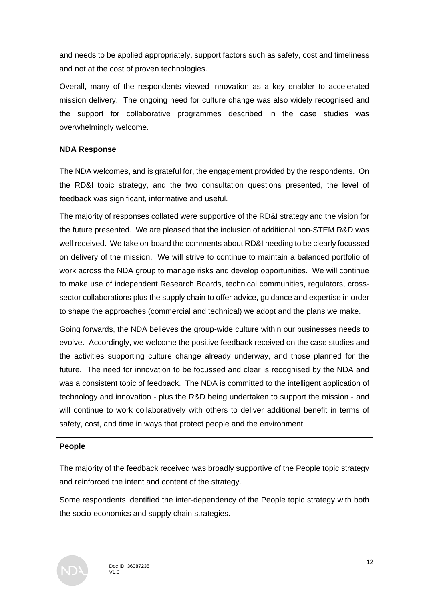and needs to be applied appropriately, support factors such as safety, cost and timeliness and not at the cost of proven technologies.

Overall, many of the respondents viewed innovation as a key enabler to accelerated mission delivery. The ongoing need for culture change was also widely recognised and the support for collaborative programmes described in the case studies was overwhelmingly welcome.

#### **NDA Response**

The NDA welcomes, and is grateful for, the engagement provided by the respondents. On the RD&I topic strategy, and the two consultation questions presented, the level of feedback was significant, informative and useful.

The majority of responses collated were supportive of the RD&I strategy and the vision for the future presented. We are pleased that the inclusion of additional non-STEM R&D was well received. We take on-board the comments about RD&I needing to be clearly focussed on delivery of the mission. We will strive to continue to maintain a balanced portfolio of work across the NDA group to manage risks and develop opportunities. We will continue to make use of independent Research Boards, technical communities, regulators, crosssector collaborations plus the supply chain to offer advice, guidance and expertise in order to shape the approaches (commercial and technical) we adopt and the plans we make.

Going forwards, the NDA believes the group-wide culture within our businesses needs to evolve. Accordingly, we welcome the positive feedback received on the case studies and the activities supporting culture change already underway, and those planned for the future. The need for innovation to be focussed and clear is recognised by the NDA and was a consistent topic of feedback. The NDA is committed to the intelligent application of technology and innovation - plus the R&D being undertaken to support the mission - and will continue to work collaboratively with others to deliver additional benefit in terms of safety, cost, and time in ways that protect people and the environment.

#### **People**

The majority of the feedback received was broadly supportive of the People topic strategy and reinforced the intent and content of the strategy.

Some respondents identified the inter-dependency of the People topic strategy with both the socio-economics and supply chain strategies.

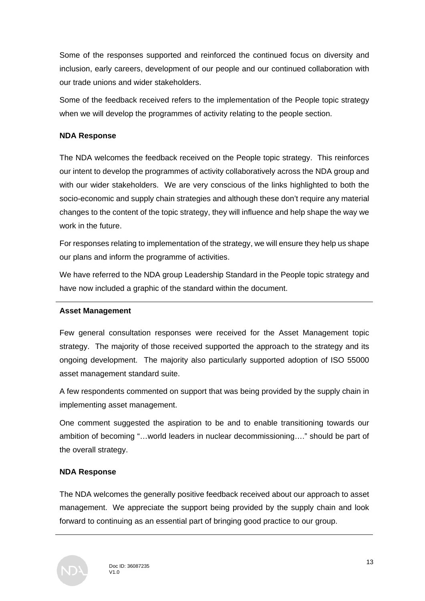Some of the responses supported and reinforced the continued focus on diversity and inclusion, early careers, development of our people and our continued collaboration with our trade unions and wider stakeholders.

Some of the feedback received refers to the implementation of the People topic strategy when we will develop the programmes of activity relating to the people section.

## **NDA Response**

The NDA welcomes the feedback received on the People topic strategy. This reinforces our intent to develop the programmes of activity collaboratively across the NDA group and with our wider stakeholders. We are very conscious of the links highlighted to both the socio-economic and supply chain strategies and although these don't require any material changes to the content of the topic strategy, they will influence and help shape the way we work in the future.

For responses relating to implementation of the strategy, we will ensure they help us shape our plans and inform the programme of activities.

We have referred to the NDA group Leadership Standard in the People topic strategy and have now included a graphic of the standard within the document.

## **Asset Management**

Few general consultation responses were received for the Asset Management topic strategy. The majority of those received supported the approach to the strategy and its ongoing development. The majority also particularly supported adoption of ISO 55000 asset management standard suite.

A few respondents commented on support that was being provided by the supply chain in implementing asset management.

One comment suggested the aspiration to be and to enable transitioning towards our ambition of becoming "…world leaders in nuclear decommissioning…." should be part of the overall strategy.

## **NDA Response**

The NDA welcomes the generally positive feedback received about our approach to asset management. We appreciate the support being provided by the supply chain and look forward to continuing as an essential part of bringing good practice to our group.

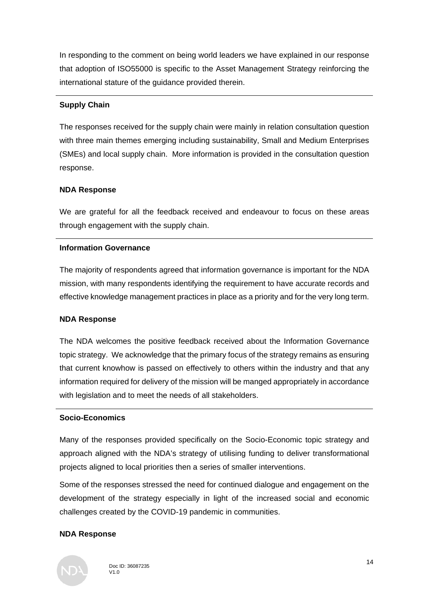In responding to the comment on being world leaders we have explained in our response that adoption of ISO55000 is specific to the Asset Management Strategy reinforcing the international stature of the guidance provided therein.

## **Supply Chain**

The responses received for the supply chain were mainly in relation consultation question with three main themes emerging including sustainability, Small and Medium Enterprises (SMEs) and local supply chain. More information is provided in the consultation question response.

## **NDA Response**

We are grateful for all the feedback received and endeavour to focus on these areas through engagement with the supply chain.

## **Information Governance**

The majority of respondents agreed that information governance is important for the NDA mission, with many respondents identifying the requirement to have accurate records and effective knowledge management practices in place as a priority and for the very long term.

## **NDA Response**

The NDA welcomes the positive feedback received about the Information Governance topic strategy. We acknowledge that the primary focus of the strategy remains as ensuring that current knowhow is passed on effectively to others within the industry and that any information required for delivery of the mission will be manged appropriately in accordance with legislation and to meet the needs of all stakeholders.

## **Socio-Economics**

Many of the responses provided specifically on the Socio-Economic topic strategy and approach aligned with the NDA's strategy of utilising funding to deliver transformational projects aligned to local priorities then a series of smaller interventions.

Some of the responses stressed the need for continued dialogue and engagement on the development of the strategy especially in light of the increased social and economic challenges created by the COVID-19 pandemic in communities.

## **NDA Response**

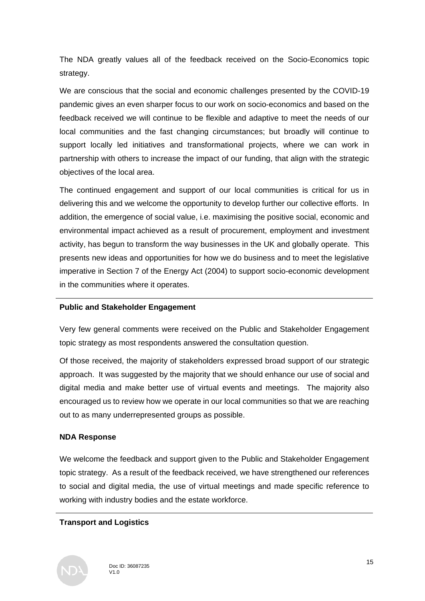The NDA greatly values all of the feedback received on the Socio-Economics topic strategy.

We are conscious that the social and economic challenges presented by the COVID-19 pandemic gives an even sharper focus to our work on socio-economics and based on the feedback received we will continue to be flexible and adaptive to meet the needs of our local communities and the fast changing circumstances; but broadly will continue to support locally led initiatives and transformational projects, where we can work in partnership with others to increase the impact of our funding, that align with the strategic objectives of the local area.

The continued engagement and support of our local communities is critical for us in delivering this and we welcome the opportunity to develop further our collective efforts. In addition, the emergence of social value, i.e. maximising the positive social, economic and environmental impact achieved as a result of procurement, employment and investment activity, has begun to transform the way businesses in the UK and globally operate. This presents new ideas and opportunities for how we do business and to meet the legislative imperative in Section 7 of the Energy Act (2004) to support socio-economic development in the communities where it operates.

## **Public and Stakeholder Engagement**

Very few general comments were received on the Public and Stakeholder Engagement topic strategy as most respondents answered the consultation question.

Of those received, the majority of stakeholders expressed broad support of our strategic approach. It was suggested by the majority that we should enhance our use of social and digital media and make better use of virtual events and meetings. The majority also encouraged us to review how we operate in our local communities so that we are reaching out to as many underrepresented groups as possible.

## **NDA Response**

We welcome the feedback and support given to the Public and Stakeholder Engagement topic strategy. As a result of the feedback received, we have strengthened our references to social and digital media, the use of virtual meetings and made specific reference to working with industry bodies and the estate workforce.

## **Transport and Logistics**

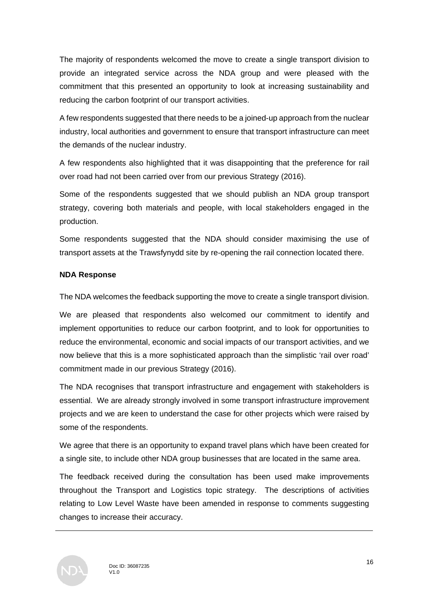The majority of respondents welcomed the move to create a single transport division to provide an integrated service across the NDA group and were pleased with the commitment that this presented an opportunity to look at increasing sustainability and reducing the carbon footprint of our transport activities.

A few respondents suggested that there needs to be a joined-up approach from the nuclear industry, local authorities and government to ensure that transport infrastructure can meet the demands of the nuclear industry.

A few respondents also highlighted that it was disappointing that the preference for rail over road had not been carried over from our previous Strategy (2016).

Some of the respondents suggested that we should publish an NDA group transport strategy, covering both materials and people, with local stakeholders engaged in the production.

Some respondents suggested that the NDA should consider maximising the use of transport assets at the Trawsfynydd site by re-opening the rail connection located there.

## **NDA Response**

The NDA welcomes the feedback supporting the move to create a single transport division.

We are pleased that respondents also welcomed our commitment to identify and implement opportunities to reduce our carbon footprint, and to look for opportunities to reduce the environmental, economic and social impacts of our transport activities, and we now believe that this is a more sophisticated approach than the simplistic 'rail over road' commitment made in our previous Strategy (2016).

The NDA recognises that transport infrastructure and engagement with stakeholders is essential. We are already strongly involved in some transport infrastructure improvement projects and we are keen to understand the case for other projects which were raised by some of the respondents.

We agree that there is an opportunity to expand travel plans which have been created for a single site, to include other NDA group businesses that are located in the same area.

The feedback received during the consultation has been used make improvements throughout the Transport and Logistics topic strategy. The descriptions of activities relating to Low Level Waste have been amended in response to comments suggesting changes to increase their accuracy.

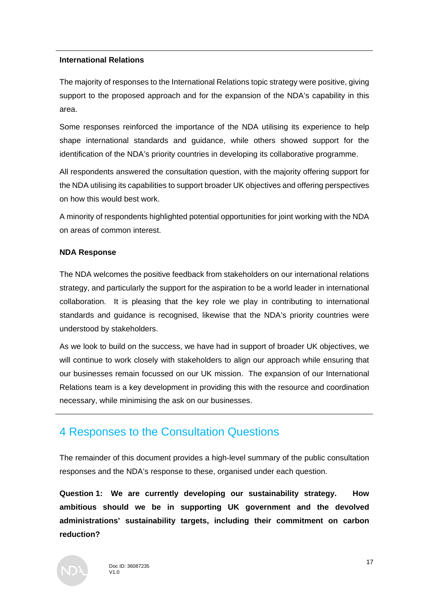#### **International Relations**

The majority of responses to the International Relations topic strategy were positive, giving support to the proposed approach and for the expansion of the NDA's capability in this area.

Some responses reinforced the importance of the NDA utilising its experience to help shape international standards and guidance, while others showed support for the identification of the NDA's priority countries in developing its collaborative programme.

All respondents answered the consultation question, with the majority offering support for the NDA utilising its capabilities to support broader UK objectives and offering perspectives on how this would best work.

A minority of respondents highlighted potential opportunities for joint working with the NDA on areas of common interest.

#### **NDA Response**

The NDA welcomes the positive feedback from stakeholders on our international relations strategy, and particularly the support for the aspiration to be a world leader in international collaboration. It is pleasing that the key role we play in contributing to international standards and guidance is recognised, likewise that the NDA's priority countries were understood by stakeholders.

As we look to build on the success, we have had in support of broader UK objectives, we will continue to work closely with stakeholders to align our approach while ensuring that our businesses remain focussed on our UK mission. The expansion of our International Relations team is a key development in providing this with the resource and coordination necessary, while minimising the ask on our businesses.

## 4 Responses to the Consultation Questions

The remainder of this document provides a high-level summary of the public consultation responses and the NDA's response to these, organised under each question.

**Question 1: We are currently developing our sustainability strategy. How ambitious should we be in supporting UK government and the devolved administrations' sustainability targets, including their commitment on carbon reduction?**

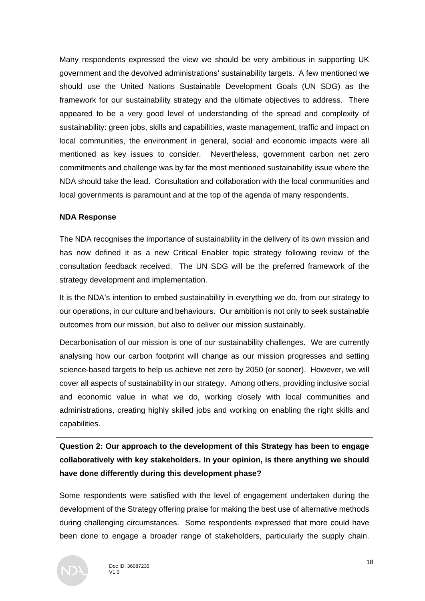Many respondents expressed the view we should be very ambitious in supporting UK government and the devolved administrations' sustainability targets. A few mentioned we should use the United Nations Sustainable Development Goals (UN SDG) as the framework for our sustainability strategy and the ultimate objectives to address. There appeared to be a very good level of understanding of the spread and complexity of sustainability: green jobs, skills and capabilities, waste management, traffic and impact on local communities, the environment in general, social and economic impacts were all mentioned as key issues to consider. Nevertheless, government carbon net zero commitments and challenge was by far the most mentioned sustainability issue where the NDA should take the lead. Consultation and collaboration with the local communities and local governments is paramount and at the top of the agenda of many respondents.

#### **NDA Response**

The NDA recognises the importance of sustainability in the delivery of its own mission and has now defined it as a new Critical Enabler topic strategy following review of the consultation feedback received. The UN SDG will be the preferred framework of the strategy development and implementation.

It is the NDA's intention to embed sustainability in everything we do, from our strategy to our operations, in our culture and behaviours. Our ambition is not only to seek sustainable outcomes from our mission, but also to deliver our mission sustainably.

Decarbonisation of our mission is one of our sustainability challenges. We are currently analysing how our carbon footprint will change as our mission progresses and setting science-based targets to help us achieve net zero by 2050 (or sooner). However, we will cover all aspects of sustainability in our strategy. Among others, providing inclusive social and economic value in what we do, working closely with local communities and administrations, creating highly skilled jobs and working on enabling the right skills and capabilities.

**Question 2: Our approach to the development of this Strategy has been to engage collaboratively with key stakeholders. In your opinion, is there anything we should have done differently during this development phase?**

Some respondents were satisfied with the level of engagement undertaken during the development of the Strategy offering praise for making the best use of alternative methods during challenging circumstances. Some respondents expressed that more could have been done to engage a broader range of stakeholders, particularly the supply chain.

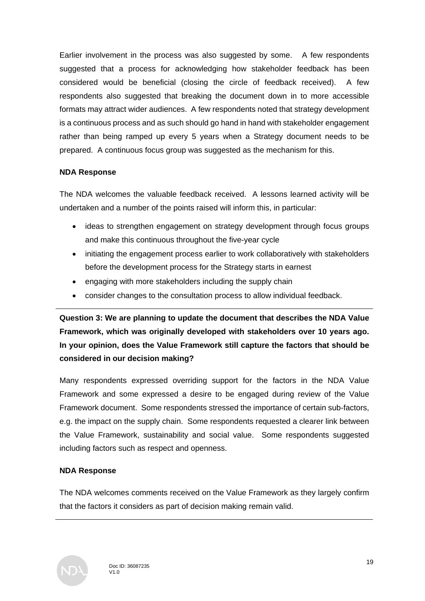Earlier involvement in the process was also suggested by some. A few respondents suggested that a process for acknowledging how stakeholder feedback has been considered would be beneficial (closing the circle of feedback received). A few respondents also suggested that breaking the document down in to more accessible formats may attract wider audiences. A few respondents noted that strategy development is a continuous process and as such should go hand in hand with stakeholder engagement rather than being ramped up every 5 years when a Strategy document needs to be prepared. A continuous focus group was suggested as the mechanism for this.

## **NDA Response**

The NDA welcomes the valuable feedback received. A lessons learned activity will be undertaken and a number of the points raised will inform this, in particular:

- ideas to strengthen engagement on strategy development through focus groups and make this continuous throughout the five-year cycle
- initiating the engagement process earlier to work collaboratively with stakeholders before the development process for the Strategy starts in earnest
- engaging with more stakeholders including the supply chain
- consider changes to the consultation process to allow individual feedback.

**Question 3: We are planning to update the document that describes the NDA Value Framework, which was originally developed with stakeholders over 10 years ago. In your opinion, does the Value Framework still capture the factors that should be considered in our decision making?**

Many respondents expressed overriding support for the factors in the NDA Value Framework and some expressed a desire to be engaged during review of the Value Framework document. Some respondents stressed the importance of certain sub-factors, e.g. the impact on the supply chain. Some respondents requested a clearer link between the Value Framework, sustainability and social value. Some respondents suggested including factors such as respect and openness.

## **NDA Response**

The NDA welcomes comments received on the Value Framework as they largely confirm that the factors it considers as part of decision making remain valid.

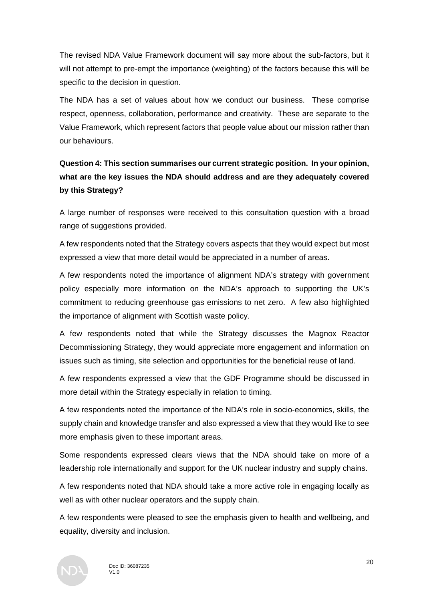The revised NDA Value Framework document will say more about the sub-factors, but it will not attempt to pre-empt the importance (weighting) of the factors because this will be specific to the decision in question.

The NDA has a set of values about how we conduct our business. These comprise respect, openness, collaboration, performance and creativity. These are separate to the Value Framework, which represent factors that people value about our mission rather than our behaviours.

**Question 4: This section summarises our current strategic position. In your opinion, what are the key issues the NDA should address and are they adequately covered by this Strategy?**

A large number of responses were received to this consultation question with a broad range of suggestions provided.

A few respondents noted that the Strategy covers aspects that they would expect but most expressed a view that more detail would be appreciated in a number of areas.

A few respondents noted the importance of alignment NDA's strategy with government policy especially more information on the NDA's approach to supporting the UK's commitment to reducing greenhouse gas emissions to net zero. A few also highlighted the importance of alignment with Scottish waste policy.

A few respondents noted that while the Strategy discusses the Magnox Reactor Decommissioning Strategy, they would appreciate more engagement and information on issues such as timing, site selection and opportunities for the beneficial reuse of land.

A few respondents expressed a view that the GDF Programme should be discussed in more detail within the Strategy especially in relation to timing.

A few respondents noted the importance of the NDA's role in socio-economics, skills, the supply chain and knowledge transfer and also expressed a view that they would like to see more emphasis given to these important areas.

Some respondents expressed clears views that the NDA should take on more of a leadership role internationally and support for the UK nuclear industry and supply chains.

A few respondents noted that NDA should take a more active role in engaging locally as well as with other nuclear operators and the supply chain.

A few respondents were pleased to see the emphasis given to health and wellbeing, and equality, diversity and inclusion.

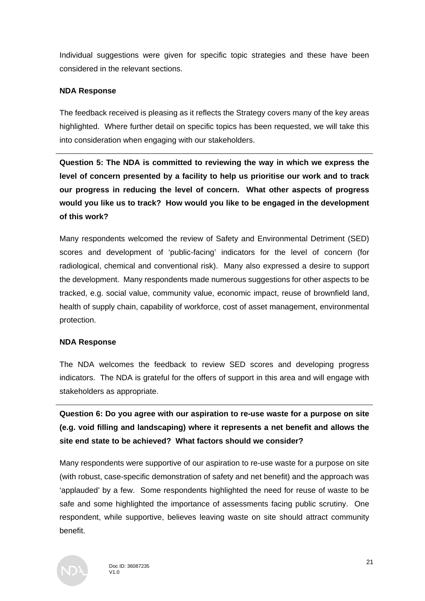Individual suggestions were given for specific topic strategies and these have been considered in the relevant sections.

#### **NDA Response**

The feedback received is pleasing as it reflects the Strategy covers many of the key areas highlighted. Where further detail on specific topics has been requested, we will take this into consideration when engaging with our stakeholders.

**Question 5: The NDA is committed to reviewing the way in which we express the level of concern presented by a facility to help us prioritise our work and to track our progress in reducing the level of concern. What other aspects of progress would you like us to track? How would you like to be engaged in the development of this work?**

Many respondents welcomed the review of Safety and Environmental Detriment (SED) scores and development of 'public-facing' indicators for the level of concern (for radiological, chemical and conventional risk). Many also expressed a desire to support the development. Many respondents made numerous suggestions for other aspects to be tracked, e.g. social value, community value, economic impact, reuse of brownfield land, health of supply chain, capability of workforce, cost of asset management, environmental protection.

#### **NDA Response**

The NDA welcomes the feedback to review SED scores and developing progress indicators. The NDA is grateful for the offers of support in this area and will engage with stakeholders as appropriate.

**Question 6: Do you agree with our aspiration to re-use waste for a purpose on site (e.g. void filling and landscaping) where it represents a net benefit and allows the site end state to be achieved? What factors should we consider?**

Many respondents were supportive of our aspiration to re-use waste for a purpose on site (with robust, case-specific demonstration of safety and net benefit) and the approach was 'applauded' by a few. Some respondents highlighted the need for reuse of waste to be safe and some highlighted the importance of assessments facing public scrutiny. One respondent, while supportive, believes leaving waste on site should attract community benefit.

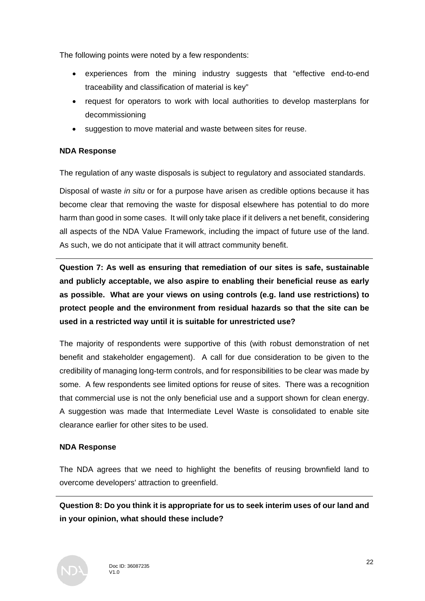The following points were noted by a few respondents:

- experiences from the mining industry suggests that "effective end-to-end traceability and classification of material is key"
- request for operators to work with local authorities to develop masterplans for decommissioning
- suggestion to move material and waste between sites for reuse.

## **NDA Response**

The regulation of any waste disposals is subject to regulatory and associated standards.

Disposal of waste *in situ* or for a purpose have arisen as credible options because it has become clear that removing the waste for disposal elsewhere has potential to do more harm than good in some cases. It will only take place if it delivers a net benefit, considering all aspects of the NDA Value Framework, including the impact of future use of the land. As such, we do not anticipate that it will attract community benefit.

**Question 7: As well as ensuring that remediation of our sites is safe, sustainable and publicly acceptable, we also aspire to enabling their beneficial reuse as early as possible. What are your views on using controls (e.g. land use restrictions) to protect people and the environment from residual hazards so that the site can be used in a restricted way until it is suitable for unrestricted use?**

The majority of respondents were supportive of this (with robust demonstration of net benefit and stakeholder engagement). A call for due consideration to be given to the credibility of managing long-term controls, and for responsibilities to be clear was made by some. A few respondents see limited options for reuse of sites. There was a recognition that commercial use is not the only beneficial use and a support shown for clean energy. A suggestion was made that Intermediate Level Waste is consolidated to enable site clearance earlier for other sites to be used.

## **NDA Response**

The NDA agrees that we need to highlight the benefits of reusing brownfield land to overcome developers' attraction to greenfield.

**Question 8: Do you think it is appropriate for us to seek interim uses of our land and in your opinion, what should these include?**

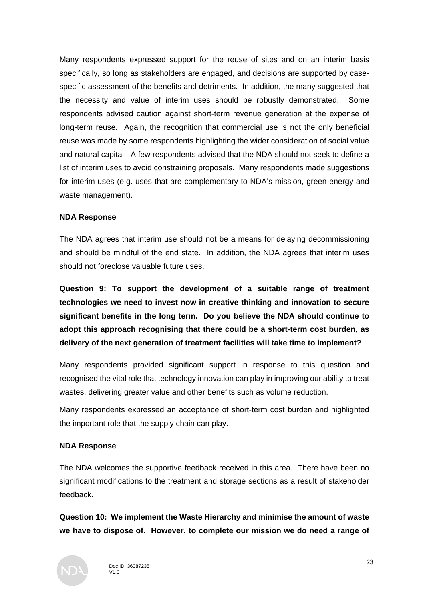Many respondents expressed support for the reuse of sites and on an interim basis specifically, so long as stakeholders are engaged, and decisions are supported by casespecific assessment of the benefits and detriments. In addition, the many suggested that the necessity and value of interim uses should be robustly demonstrated. Some respondents advised caution against short-term revenue generation at the expense of long-term reuse. Again, the recognition that commercial use is not the only beneficial reuse was made by some respondents highlighting the wider consideration of social value and natural capital. A few respondents advised that the NDA should not seek to define a list of interim uses to avoid constraining proposals. Many respondents made suggestions for interim uses (e.g. uses that are complementary to NDA's mission, green energy and waste management).

#### **NDA Response**

The NDA agrees that interim use should not be a means for delaying decommissioning and should be mindful of the end state. In addition, the NDA agrees that interim uses should not foreclose valuable future uses.

**Question 9: To support the development of a suitable range of treatment technologies we need to invest now in creative thinking and innovation to secure significant benefits in the long term. Do you believe the NDA should continue to adopt this approach recognising that there could be a short-term cost burden, as delivery of the next generation of treatment facilities will take time to implement?**

Many respondents provided significant support in response to this question and recognised the vital role that technology innovation can play in improving our ability to treat wastes, delivering greater value and other benefits such as volume reduction.

Many respondents expressed an acceptance of short-term cost burden and highlighted the important role that the supply chain can play.

#### **NDA Response**

The NDA welcomes the supportive feedback received in this area. There have been no significant modifications to the treatment and storage sections as a result of stakeholder feedback.

**Question 10: We implement the Waste Hierarchy and minimise the amount of waste we have to dispose of. However, to complete our mission we do need a range of** 

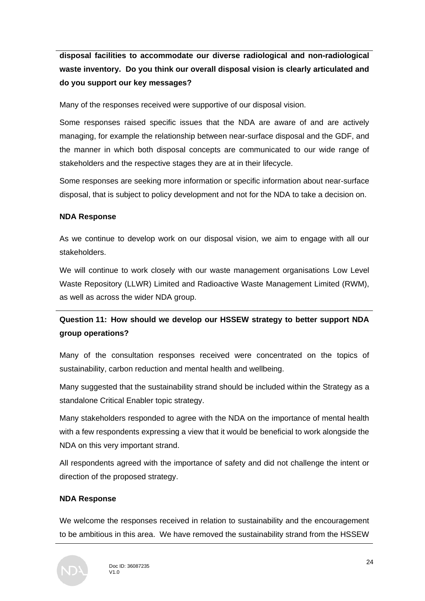**disposal facilities to accommodate our diverse radiological and non-radiological waste inventory. Do you think our overall disposal vision is clearly articulated and do you support our key messages?**

Many of the responses received were supportive of our disposal vision.

Some responses raised specific issues that the NDA are aware of and are actively managing, for example the relationship between near-surface disposal and the GDF, and the manner in which both disposal concepts are communicated to our wide range of stakeholders and the respective stages they are at in their lifecycle.

Some responses are seeking more information or specific information about near-surface disposal, that is subject to policy development and not for the NDA to take a decision on.

#### **NDA Response**

As we continue to develop work on our disposal vision, we aim to engage with all our stakeholders.

We will continue to work closely with our waste management organisations Low Level Waste Repository (LLWR) Limited and Radioactive Waste Management Limited (RWM), as well as across the wider NDA group.

## **Question 11: How should we develop our HSSEW strategy to better support NDA group operations?**

Many of the consultation responses received were concentrated on the topics of sustainability, carbon reduction and mental health and wellbeing.

Many suggested that the sustainability strand should be included within the Strategy as a standalone Critical Enabler topic strategy.

Many stakeholders responded to agree with the NDA on the importance of mental health with a few respondents expressing a view that it would be beneficial to work alongside the NDA on this very important strand.

All respondents agreed with the importance of safety and did not challenge the intent or direction of the proposed strategy.

## **NDA Response**

We welcome the responses received in relation to sustainability and the encouragement to be ambitious in this area. We have removed the sustainability strand from the HSSEW

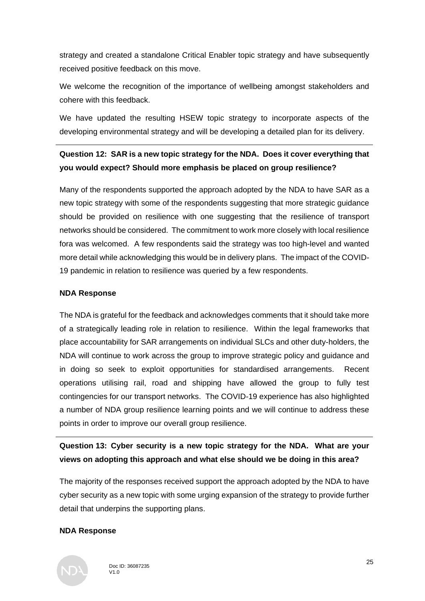strategy and created a standalone Critical Enabler topic strategy and have subsequently received positive feedback on this move.

We welcome the recognition of the importance of wellbeing amongst stakeholders and cohere with this feedback.

We have updated the resulting HSEW topic strategy to incorporate aspects of the developing environmental strategy and will be developing a detailed plan for its delivery.

## **Question 12: SAR is a new topic strategy for the NDA. Does it cover everything that you would expect? Should more emphasis be placed on group resilience?**

Many of the respondents supported the approach adopted by the NDA to have SAR as a new topic strategy with some of the respondents suggesting that more strategic guidance should be provided on resilience with one suggesting that the resilience of transport networks should be considered. The commitment to work more closely with local resilience fora was welcomed. A few respondents said the strategy was too high-level and wanted more detail while acknowledging this would be in delivery plans. The impact of the COVID-19 pandemic in relation to resilience was queried by a few respondents.

#### **NDA Response**

The NDA is grateful for the feedback and acknowledges comments that it should take more of a strategically leading role in relation to resilience. Within the legal frameworks that place accountability for SAR arrangements on individual SLCs and other duty-holders, the NDA will continue to work across the group to improve strategic policy and guidance and in doing so seek to exploit opportunities for standardised arrangements. Recent operations utilising rail, road and shipping have allowed the group to fully test contingencies for our transport networks. The COVID-19 experience has also highlighted a number of NDA group resilience learning points and we will continue to address these points in order to improve our overall group resilience.

## **Question 13: Cyber security is a new topic strategy for the NDA. What are your views on adopting this approach and what else should we be doing in this area?**

The majority of the responses received support the approach adopted by the NDA to have cyber security as a new topic with some urging expansion of the strategy to provide further detail that underpins the supporting plans.

## **NDA Response**

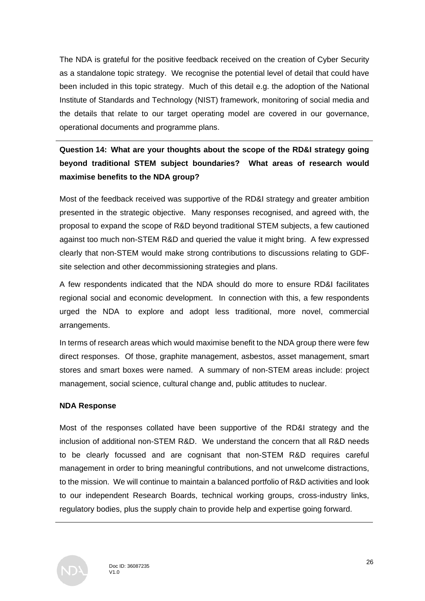The NDA is grateful for the positive feedback received on the creation of Cyber Security as a standalone topic strategy. We recognise the potential level of detail that could have been included in this topic strategy. Much of this detail e.g. the adoption of the National Institute of Standards and Technology (NIST) framework, monitoring of social media and the details that relate to our target operating model are covered in our governance, operational documents and programme plans.

## **Question 14: What are your thoughts about the scope of the RD&I strategy going beyond traditional STEM subject boundaries? What areas of research would maximise benefits to the NDA group?**

Most of the feedback received was supportive of the RD&I strategy and greater ambition presented in the strategic objective. Many responses recognised, and agreed with, the proposal to expand the scope of R&D beyond traditional STEM subjects, a few cautioned against too much non-STEM R&D and queried the value it might bring. A few expressed clearly that non-STEM would make strong contributions to discussions relating to GDFsite selection and other decommissioning strategies and plans.

A few respondents indicated that the NDA should do more to ensure RD&I facilitates regional social and economic development. In connection with this, a few respondents urged the NDA to explore and adopt less traditional, more novel, commercial arrangements.

In terms of research areas which would maximise benefit to the NDA group there were few direct responses. Of those, graphite management, asbestos, asset management, smart stores and smart boxes were named. A summary of non-STEM areas include: project management, social science, cultural change and, public attitudes to nuclear.

## **NDA Response**

Most of the responses collated have been supportive of the RD&I strategy and the inclusion of additional non-STEM R&D. We understand the concern that all R&D needs to be clearly focussed and are cognisant that non-STEM R&D requires careful management in order to bring meaningful contributions, and not unwelcome distractions, to the mission. We will continue to maintain a balanced portfolio of R&D activities and look to our independent Research Boards, technical working groups, cross-industry links, regulatory bodies, plus the supply chain to provide help and expertise going forward.

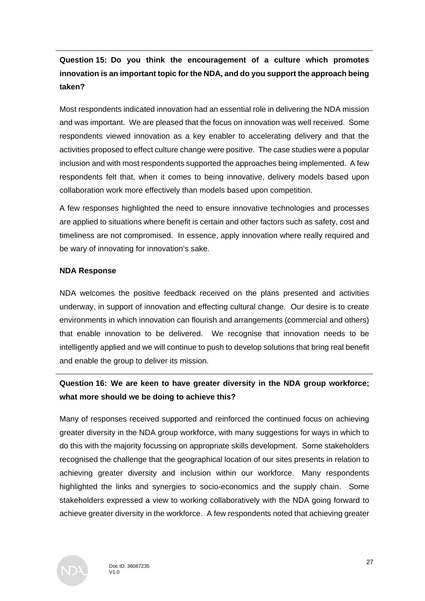## **Question 15: Do you think the encouragement of a culture which promotes innovation is an important topic for the NDA, and do you support the approach being taken?**

Most respondents indicated innovation had an essential role in delivering the NDA mission and was important. We are pleased that the focus on innovation was well received. Some respondents viewed innovation as a key enabler to accelerating delivery and that the activities proposed to effect culture change were positive. The case studies were a popular inclusion and with most respondents supported the approaches being implemented. A few respondents felt that, when it comes to being innovative, delivery models based upon collaboration work more effectively than models based upon competition.

A few responses highlighted the need to ensure innovative technologies and processes are applied to situations where benefit is certain and other factors such as safety, cost and timeliness are not compromised. In essence, apply innovation where really required and be wary of innovating for innovation's sake.

## **NDA Response**

NDA welcomes the positive feedback received on the plans presented and activities underway, in support of innovation and effecting cultural change. Our desire is to create environments in which innovation can flourish and arrangements (commercial and others) that enable innovation to be delivered. We recognise that innovation needs to be intelligently applied and we will continue to push to develop solutions that bring real benefit and enable the group to deliver its mission.

## **Question 16: We are keen to have greater diversity in the NDA group workforce; what more should we be doing to achieve this?**

Many of responses received supported and reinforced the continued focus on achieving greater diversity in the NDA group workforce, with many suggestions for ways in which to do this with the majority focussing on appropriate skills development. Some stakeholders recognised the challenge that the geographical location of our sites presents in relation to achieving greater diversity and inclusion within our workforce. Many respondents highlighted the links and synergies to socio-economics and the supply chain. Some stakeholders expressed a view to working collaboratively with the NDA going forward to achieve greater diversity in the workforce. A few respondents noted that achieving greater

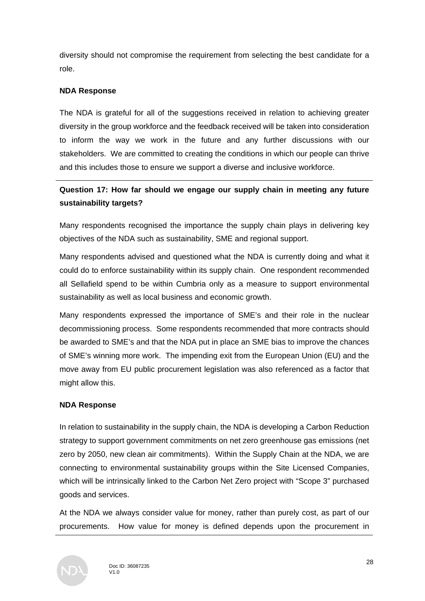diversity should not compromise the requirement from selecting the best candidate for a role.

## **NDA Response**

The NDA is grateful for all of the suggestions received in relation to achieving greater diversity in the group workforce and the feedback received will be taken into consideration to inform the way we work in the future and any further discussions with our stakeholders. We are committed to creating the conditions in which our people can thrive and this includes those to ensure we support a diverse and inclusive workforce.

## **Question 17: How far should we engage our supply chain in meeting any future sustainability targets?**

Many respondents recognised the importance the supply chain plays in delivering key objectives of the NDA such as sustainability, SME and regional support.

Many respondents advised and questioned what the NDA is currently doing and what it could do to enforce sustainability within its supply chain. One respondent recommended all Sellafield spend to be within Cumbria only as a measure to support environmental sustainability as well as local business and economic growth.

Many respondents expressed the importance of SME's and their role in the nuclear decommissioning process. Some respondents recommended that more contracts should be awarded to SME's and that the NDA put in place an SME bias to improve the chances of SME's winning more work. The impending exit from the European Union (EU) and the move away from EU public procurement legislation was also referenced as a factor that might allow this.

#### **NDA Response**

In relation to sustainability in the supply chain, the NDA is developing a Carbon Reduction strategy to support government commitments on net zero greenhouse gas emissions (net zero by 2050, new clean air commitments). Within the Supply Chain at the NDA, we are connecting to environmental sustainability groups within the Site Licensed Companies, which will be intrinsically linked to the Carbon Net Zero project with "Scope 3" purchased goods and services.

At the NDA we always consider value for money, rather than purely cost, as part of our procurements. How value for money is defined depends upon the procurement in

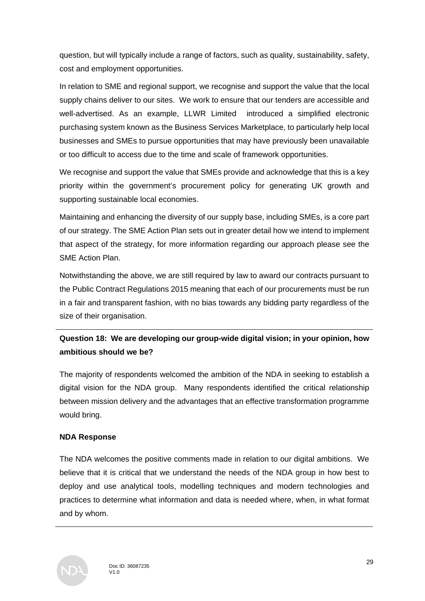question, but will typically include a range of factors, such as quality, sustainability, safety, cost and employment opportunities.

In relation to SME and regional support, we recognise and support the value that the local supply chains deliver to our sites. We work to ensure that our tenders are accessible and well-advertised. As an example, LLWR Limited introduced a simplified electronic purchasing system known as the Business Services Marketplace, to particularly help local businesses and SMEs to pursue opportunities that may have previously been unavailable or too difficult to access due to the time and scale of framework opportunities.

We recognise and support the value that SMEs provide and acknowledge that this is a key priority within the government's procurement policy for generating UK growth and supporting sustainable local economies.

Maintaining and enhancing the diversity of our supply base, including SMEs, is a core part of our strategy. The SME Action Plan sets out in greater detail how we intend to implement that aspect of the strategy, for more information regarding our approach please see the SME Action Plan.

Notwithstanding the above, we are still required by law to award our contracts pursuant to the Public Contract Regulations 2015 meaning that each of our procurements must be run in a fair and transparent fashion, with no bias towards any bidding party regardless of the size of their organisation.

## **Question 18: We are developing our group-wide digital vision; in your opinion, how ambitious should we be?**

The majority of respondents welcomed the ambition of the NDA in seeking to establish a digital vision for the NDA group. Many respondents identified the critical relationship between mission delivery and the advantages that an effective transformation programme would bring.

## **NDA Response**

The NDA welcomes the positive comments made in relation to our digital ambitions. We believe that it is critical that we understand the needs of the NDA group in how best to deploy and use analytical tools, modelling techniques and modern technologies and practices to determine what information and data is needed where, when, in what format and by whom.

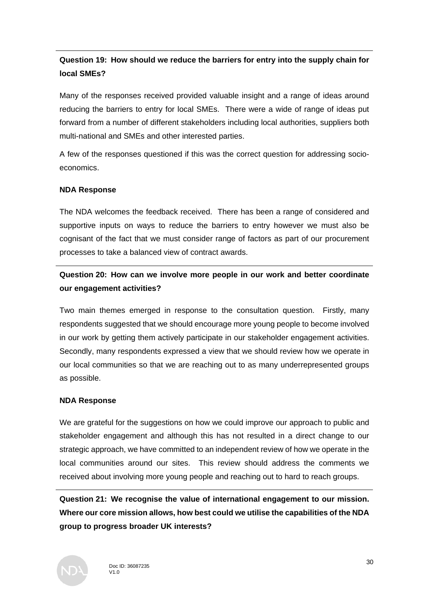## **Question 19: How should we reduce the barriers for entry into the supply chain for local SMEs?**

Many of the responses received provided valuable insight and a range of ideas around reducing the barriers to entry for local SMEs. There were a wide of range of ideas put forward from a number of different stakeholders including local authorities, suppliers both multi-national and SMEs and other interested parties.

A few of the responses questioned if this was the correct question for addressing socioeconomics.

## **NDA Response**

The NDA welcomes the feedback received. There has been a range of considered and supportive inputs on ways to reduce the barriers to entry however we must also be cognisant of the fact that we must consider range of factors as part of our procurement processes to take a balanced view of contract awards.

## **Question 20: How can we involve more people in our work and better coordinate our engagement activities?**

Two main themes emerged in response to the consultation question. Firstly, many respondents suggested that we should encourage more young people to become involved in our work by getting them actively participate in our stakeholder engagement activities. Secondly, many respondents expressed a view that we should review how we operate in our local communities so that we are reaching out to as many underrepresented groups as possible.

#### **NDA Response**

We are grateful for the suggestions on how we could improve our approach to public and stakeholder engagement and although this has not resulted in a direct change to our strategic approach, we have committed to an independent review of how we operate in the local communities around our sites. This review should address the comments we received about involving more young people and reaching out to hard to reach groups.

**Question 21: We recognise the value of international engagement to our mission. Where our core mission allows, how best could we utilise the capabilities of the NDA group to progress broader UK interests?**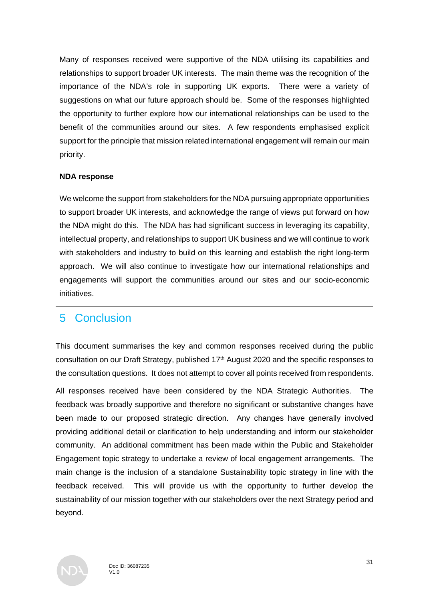Many of responses received were supportive of the NDA utilising its capabilities and relationships to support broader UK interests. The main theme was the recognition of the importance of the NDA's role in supporting UK exports. There were a variety of suggestions on what our future approach should be. Some of the responses highlighted the opportunity to further explore how our international relationships can be used to the benefit of the communities around our sites. A few respondents emphasised explicit support for the principle that mission related international engagement will remain our main priority.

#### **NDA response**

We welcome the support from stakeholders for the NDA pursuing appropriate opportunities to support broader UK interests, and acknowledge the range of views put forward on how the NDA might do this. The NDA has had significant success in leveraging its capability, intellectual property, and relationships to support UK business and we will continue to work with stakeholders and industry to build on this learning and establish the right long-term approach. We will also continue to investigate how our international relationships and engagements will support the communities around our sites and our socio-economic initiatives.

## 5 Conclusion

This document summarises the key and common responses received during the public consultation on our Draft Strategy, published 17<sup>th</sup> August 2020 and the specific responses to the consultation questions. It does not attempt to cover all points received from respondents.

All responses received have been considered by the NDA Strategic Authorities. The feedback was broadly supportive and therefore no significant or substantive changes have been made to our proposed strategic direction. Any changes have generally involved providing additional detail or clarification to help understanding and inform our stakeholder community. An additional commitment has been made within the Public and Stakeholder Engagement topic strategy to undertake a review of local engagement arrangements. The main change is the inclusion of a standalone Sustainability topic strategy in line with the feedback received. This will provide us with the opportunity to further develop the sustainability of our mission together with our stakeholders over the next Strategy period and beyond.

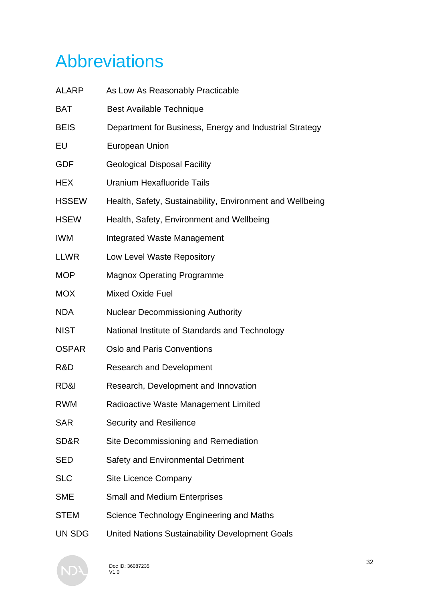# Abbreviations

| <b>ALARP</b> | As Low As Reasonably Practicable                          |
|--------------|-----------------------------------------------------------|
| <b>BAT</b>   | <b>Best Available Technique</b>                           |
| <b>BEIS</b>  | Department for Business, Energy and Industrial Strategy   |
| EU           | <b>European Union</b>                                     |
| <b>GDF</b>   | <b>Geological Disposal Facility</b>                       |
| <b>HEX</b>   | <b>Uranium Hexafluoride Tails</b>                         |
| <b>HSSEW</b> | Health, Safety, Sustainability, Environment and Wellbeing |
| <b>HSEW</b>  | Health, Safety, Environment and Wellbeing                 |
| <b>IWM</b>   | <b>Integrated Waste Management</b>                        |
| <b>LLWR</b>  | Low Level Waste Repository                                |
| <b>MOP</b>   | <b>Magnox Operating Programme</b>                         |
| <b>MOX</b>   | <b>Mixed Oxide Fuel</b>                                   |
| <b>NDA</b>   | <b>Nuclear Decommissioning Authority</b>                  |
| <b>NIST</b>  | National Institute of Standards and Technology            |
| <b>OSPAR</b> | <b>Oslo and Paris Conventions</b>                         |
| R&D          | <b>Research and Development</b>                           |
| RD&I         | Research, Development and Innovation                      |
| <b>RWM</b>   | Radioactive Waste Management Limited                      |
| <b>SAR</b>   | <b>Security and Resilience</b>                            |
| SD&R         | Site Decommissioning and Remediation                      |
| <b>SED</b>   | <b>Safety and Environmental Detriment</b>                 |
| <b>SLC</b>   | <b>Site Licence Company</b>                               |
| <b>SME</b>   | <b>Small and Medium Enterprises</b>                       |
| <b>STEM</b>  | Science Technology Engineering and Maths                  |
| UN SDG       | United Nations Sustainability Development Goals           |